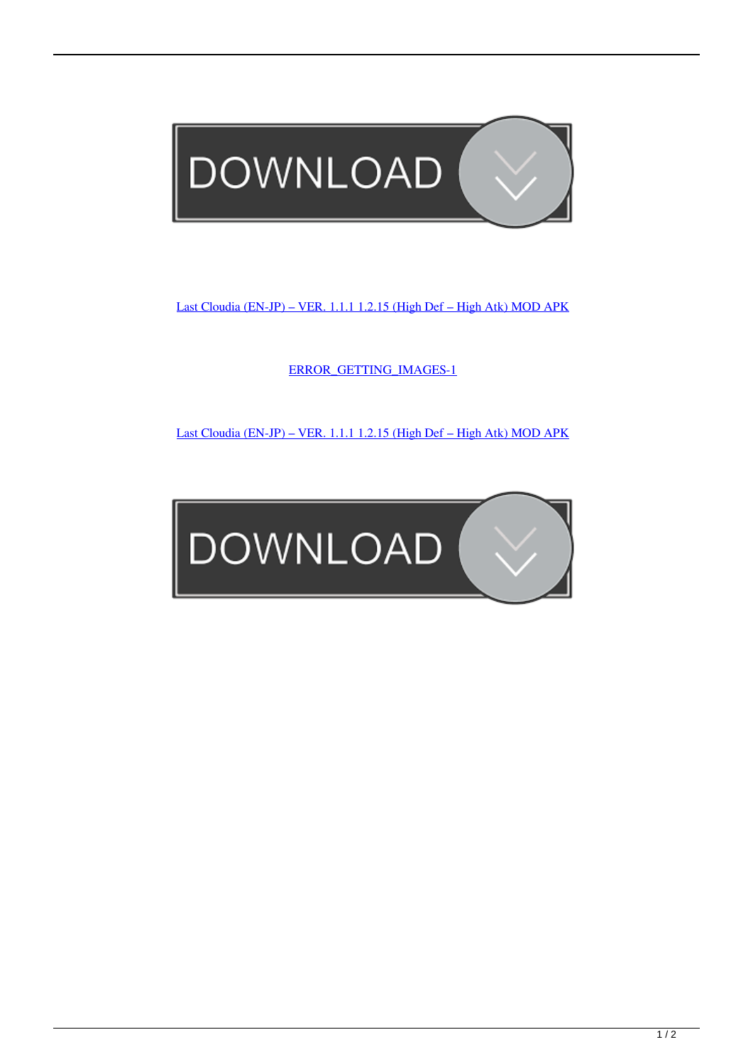

[Last Cloudia \(EN-JP\) – VER. 1.1.1 1.2.15 \(High Def – High Atk\) MOD APK](https://tlniurl.com/1ur88l)

[ERROR\\_GETTING\\_IMAGES-1](https://tlniurl.com/1ur88l)

[Last Cloudia \(EN-JP\) – VER. 1.1.1 1.2.15 \(High Def – High Atk\) MOD APK](https://tlniurl.com/1ur88l)